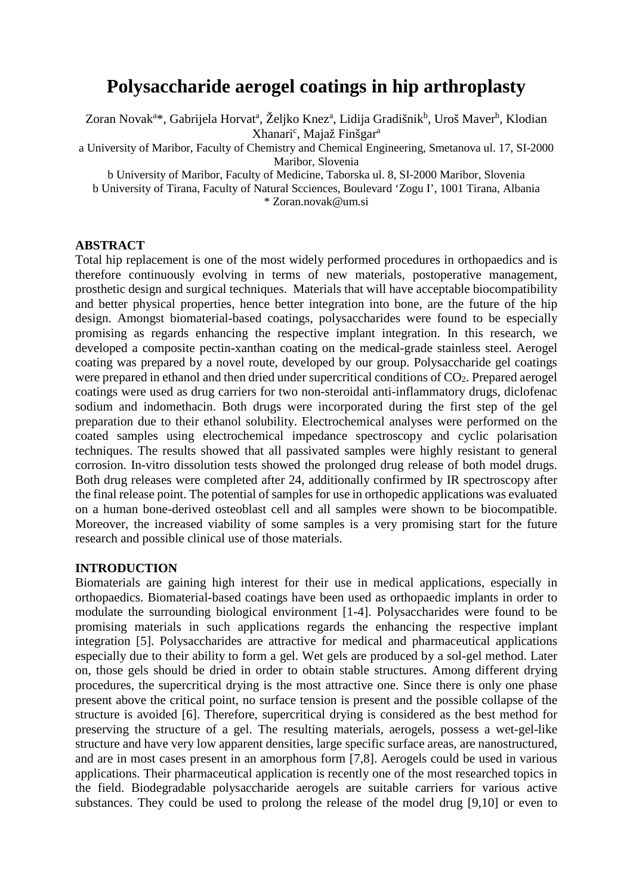# **Polysaccharide aerogel coatings in hip arthroplasty**

Zoran Novak<sup>a</sup>\*, Gabrijela Horvat<sup>a</sup>, Željko Knez<sup>a</sup>, Lidija Gradišnik<sup>b</sup>, Uroš Maver<sup>b</sup>, Klodian Xhanari<sup>c</sup>, Majaž Finšgar<sup>a</sup>

a University of Maribor, Faculty of Chemistry and Chemical Engineering, Smetanova ul. 17, SI-2000 Maribor, Slovenia

b University of Maribor, Faculty of Medicine, Taborska ul. 8, SI-2000 Maribor, Slovenia

b University of Tirana, Faculty of Natural Scciences, Boulevard 'Zogu I', 1001 Tirana, Albania \* Zoran.novak@um.si

#### **ABSTRACT**

Total hip replacement is one of the most widely performed procedures in orthopaedics and is therefore continuously evolving in terms of new materials, postoperative management, prosthetic design and surgical techniques. Materials that will have acceptable biocompatibility and better physical properties, hence better integration into bone, are the future of the hip design. Amongst biomaterial-based coatings, polysaccharides were found to be especially promising as regards enhancing the respective implant integration. In this research, we developed a composite pectin-xanthan coating on the medical-grade stainless steel. Aerogel coating was prepared by a novel route, developed by our group. Polysaccharide gel coatings were prepared in ethanol and then dried under supercritical conditions of  $CO<sub>2</sub>$ . Prepared aerogel coatings were used as drug carriers for two non-steroidal anti-inflammatory drugs, diclofenac sodium and indomethacin. Both drugs were incorporated during the first step of the gel preparation due to their ethanol solubility. Electrochemical analyses were performed on the coated samples using electrochemical impedance spectroscopy and cyclic polarisation techniques. The results showed that all passivated samples were highly resistant to general corrosion. In-vitro dissolution tests showed the prolonged drug release of both model drugs. Both drug releases were completed after 24, additionally confirmed by IR spectroscopy after the final release point. The potential of samples for use in orthopedic applications was evaluated on a human bone-derived osteoblast cell and all samples were shown to be biocompatible. Moreover, the increased viability of some samples is a very promising start for the future research and possible clinical use of those materials.

### **INTRODUCTION**

Biomaterials are gaining high interest for their use in medical applications, especially in orthopaedics. Biomaterial-based coatings have been used as orthopaedic implants in order to modulate the surrounding biological environment [1-4]. Polysaccharides were found to be promising materials in such applications regards the enhancing the respective implant integration [5]. Polysaccharides are attractive for medical and pharmaceutical applications especially due to their ability to form a gel. Wet gels are produced by a sol-gel method. Later on, those gels should be dried in order to obtain stable structures. Among different drying procedures, the supercritical drying is the most attractive one. Since there is only one phase present above the critical point, no surface tension is present and the possible collapse of the structure is avoided [6]. Therefore, supercritical drying is considered as the best method for preserving the structure of a gel. The resulting materials, aerogels, possess a wet-gel-like structure and have very low apparent densities, large specific surface areas, are nanostructured, and are in most cases present in an amorphous form [7,8]. Aerogels could be used in various applications. Their pharmaceutical application is recently one of the most researched topics in the field. Biodegradable polysaccharide aerogels are suitable carriers for various active substances. They could be used to prolong the release of the model drug [9,10] or even to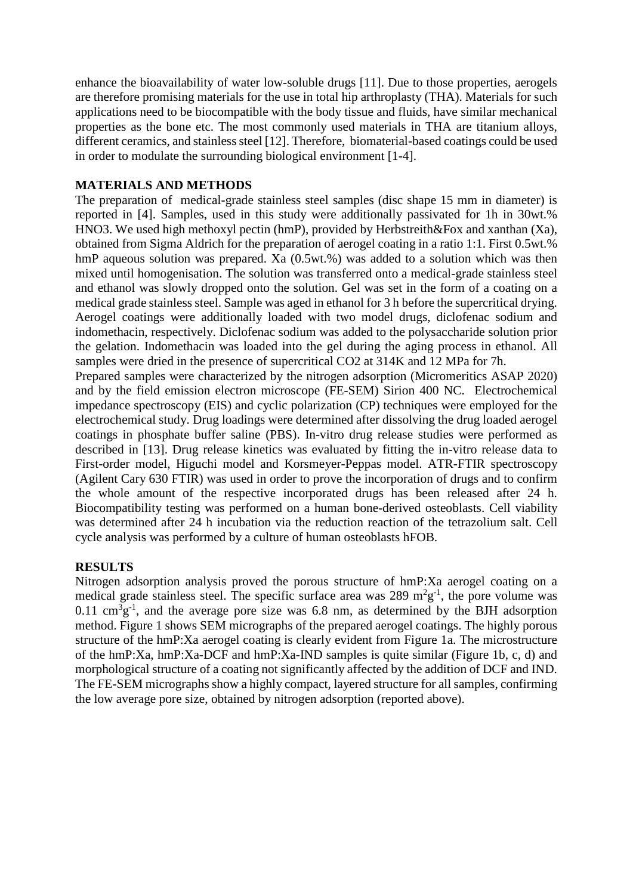enhance the bioavailability of water low-soluble drugs [11]. Due to those properties, aerogels are therefore promising materials for the use in total hip arthroplasty (THA). Materials for such applications need to be biocompatible with the body tissue and fluids, have similar mechanical properties as the bone etc. The most commonly used materials in THA are titanium alloys, different ceramics, and stainless steel [12]. Therefore, biomaterial-based coatings could be used in order to modulate the surrounding biological environment [1-4].

# **MATERIALS AND METHODS**

The preparation of medical-grade stainless steel samples (disc shape 15 mm in diameter) is reported in [4]. Samples, used in this study were additionally passivated for 1h in 30wt.% HNO3. We used high methoxyl pectin (hmP), provided by Herbstreith&Fox and xanthan (Xa), obtained from Sigma Aldrich for the preparation of aerogel coating in a ratio 1:1. First 0.5wt.% hmP aqueous solution was prepared. Xa (0.5wt.%) was added to a solution which was then mixed until homogenisation. The solution was transferred onto a medical-grade stainless steel and ethanol was slowly dropped onto the solution. Gel was set in the form of a coating on a medical grade stainless steel. Sample was aged in ethanol for 3 h before the supercritical drying. Aerogel coatings were additionally loaded with two model drugs, diclofenac sodium and indomethacin, respectively. Diclofenac sodium was added to the polysaccharide solution prior the gelation. Indomethacin was loaded into the gel during the aging process in ethanol. All samples were dried in the presence of supercritical CO2 at 314K and 12 MPa for 7h. Prepared samples were characterized by the nitrogen adsorption (Micromeritics ASAP 2020)

and by the field emission electron microscope (FE-SEM) Sirion 400 NC. Electrochemical impedance spectroscopy (EIS) and cyclic polarization (CP) techniques were employed for the electrochemical study. Drug loadings were determined after dissolving the drug loaded aerogel coatings in phosphate buffer saline (PBS). In-vitro drug release studies were performed as described in [13]. Drug release kinetics was evaluated by fitting the in-vitro release data to First-order model, Higuchi model and Korsmeyer-Peppas model. ATR-FTIR spectroscopy (Agilent Cary 630 FTIR) was used in order to prove the incorporation of drugs and to confirm the whole amount of the respective incorporated drugs has been released after 24 h. Biocompatibility testing was performed on a human bone-derived osteoblasts. Cell viability was determined after 24 h incubation via the reduction reaction of the tetrazolium salt. Cell cycle analysis was performed by a culture of human osteoblasts hFOB.

### **RESULTS**

Nitrogen adsorption analysis proved the porous structure of hmP:Xa aerogel coating on a medical grade stainless steel. The specific surface area was 289  $m^2g^{-1}$ , the pore volume was  $0.11 \text{ cm}^3$ g<sup>-1</sup>, and the average pore size was 6.8 nm, as determined by the BJH adsorption method. Figure 1 shows SEM micrographs of the prepared aerogel coatings. The highly porous structure of the hmP:Xa aerogel coating is clearly evident from Figure 1a. The microstructure of the hmP:Xa, hmP:Xa-DCF and hmP:Xa-IND samples is quite similar (Figure 1b, c, d) and morphological structure of a coating not significantly affected by the addition of DCF and IND. The FE-SEM micrographs show a highly compact, layered structure for all samples, confirming the low average pore size, obtained by nitrogen adsorption (reported above).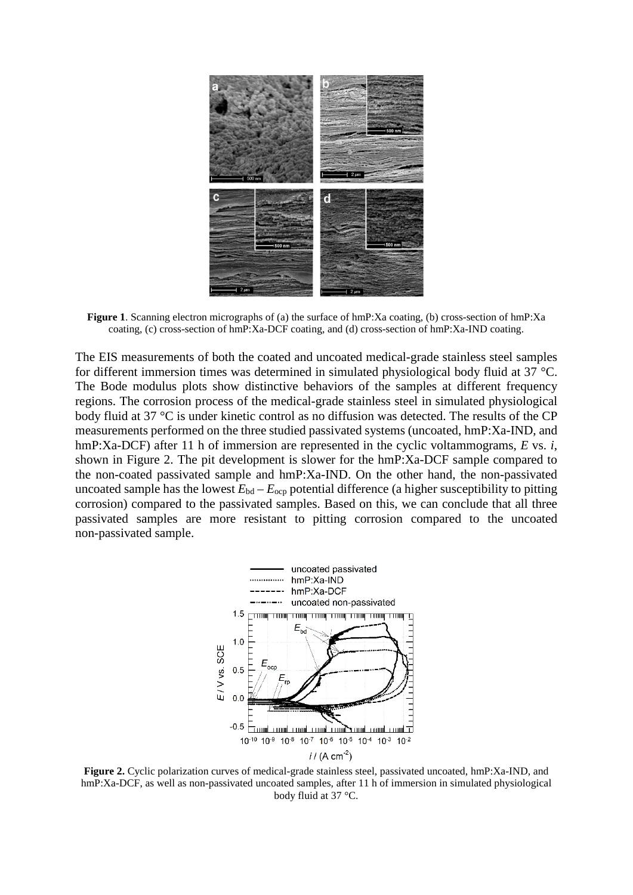

**Figure 1**. Scanning electron micrographs of (a) the surface of hmP:Xa coating, (b) cross-section of hmP:Xa coating, (c) cross-section of hmP:Xa-DCF coating, and (d) cross-section of hmP:Xa-IND coating.

The EIS measurements of both the coated and uncoated medical-grade stainless steel samples for different immersion times was determined in simulated physiological body fluid at 37 °C. The Bode modulus plots show distinctive behaviors of the samples at different frequency regions. The corrosion process of the medical-grade stainless steel in simulated physiological body fluid at 37 °C is under kinetic control as no diffusion was detected. The results of the CP measurements performed on the three studied passivated systems (uncoated, hmP:Xa-IND, and hmP:Xa-DCF) after 11 h of immersion are represented in the cyclic voltammograms, *E* vs. *i*, shown in Figure 2. The pit development is slower for the hmP:Xa-DCF sample compared to the non-coated passivated sample and hmP:Xa-IND. On the other hand, the non-passivated uncoated sample has the lowest  $E_{bd} - E_{ocp}$  potential difference (a higher susceptibility to pitting corrosion) compared to the passivated samples. Based on this, we can conclude that all three passivated samples are more resistant to pitting corrosion compared to the uncoated non-passivated sample.



**Figure 2.** Cyclic polarization curves of medical-grade stainless steel, passivated uncoated, hmP:Xa-IND, and hmP:Xa-DCF, as well as non-passivated uncoated samples, after 11 h of immersion in simulated physiological body fluid at 37 °C.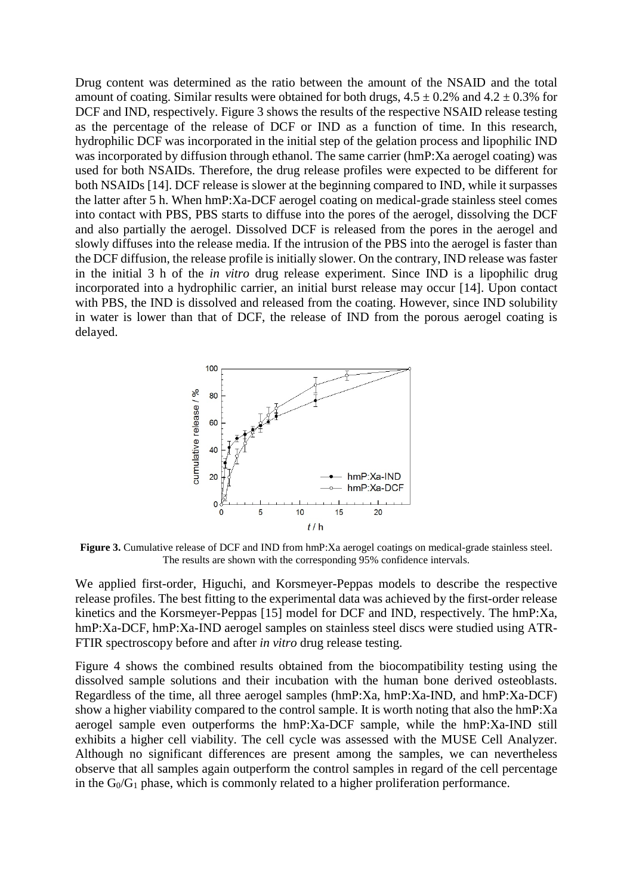Drug content was determined as the ratio between the amount of the NSAID and the total amount of coating. Similar results were obtained for both drugs,  $4.5 \pm 0.2\%$  and  $4.2 \pm 0.3\%$  for DCF and IND, respectively. Figure 3 shows the results of the respective NSAID release testing as the percentage of the release of DCF or IND as a function of time. In this research, hydrophilic DCF was incorporated in the initial step of the gelation process and lipophilic IND was incorporated by diffusion through ethanol. The same carrier (hmP:Xa aerogel coating) was used for both NSAIDs. Therefore, the drug release profiles were expected to be different for both NSAIDs [14]. DCF release is slower at the beginning compared to IND, while it surpasses the latter after 5 h. When hmP:Xa-DCF aerogel coating on medical-grade stainless steel comes into contact with PBS, PBS starts to diffuse into the pores of the aerogel, dissolving the DCF and also partially the aerogel. Dissolved DCF is released from the pores in the aerogel and slowly diffuses into the release media. If the intrusion of the PBS into the aerogel is faster than the DCF diffusion, the release profile is initially slower. On the contrary, IND release was faster in the initial 3 h of the *in vitro* drug release experiment. Since IND is a lipophilic drug incorporated into a hydrophilic carrier, an initial burst release may occur [14]. Upon contact with PBS, the IND is dissolved and released from the coating. However, since IND solubility in water is lower than that of DCF, the release of IND from the porous aerogel coating is delayed.



**Figure 3.** Cumulative release of DCF and IND from hmP:Xa aerogel coatings on medical-grade stainless steel. The results are shown with the corresponding 95% confidence intervals.

We applied first-order, Higuchi, and Korsmeyer-Peppas models to describe the respective release profiles. The best fitting to the experimental data was achieved by the first-order release kinetics and the Korsmeyer-Peppas [15] model for DCF and IND, respectively. The hmP:Xa, hmP:Xa-DCF, hmP:Xa-IND aerogel samples on stainless steel discs were studied using ATR-FTIR spectroscopy before and after *in vitro* drug release testing.

Figure 4 shows the combined results obtained from the biocompatibility testing using the dissolved sample solutions and their incubation with the human bone derived osteoblasts. Regardless of the time, all three aerogel samples (hmP:Xa, hmP:Xa-IND, and hmP:Xa-DCF) show a higher viability compared to the control sample. It is worth noting that also the hmP:Xa aerogel sample even outperforms the hmP:Xa-DCF sample, while the hmP:Xa-IND still exhibits a higher cell viability. The cell cycle was assessed with the MUSE Cell Analyzer. Although no significant differences are present among the samples, we can nevertheless observe that all samples again outperform the control samples in regard of the cell percentage in the  $G_0/G_1$  phase, which is commonly related to a higher proliferation performance.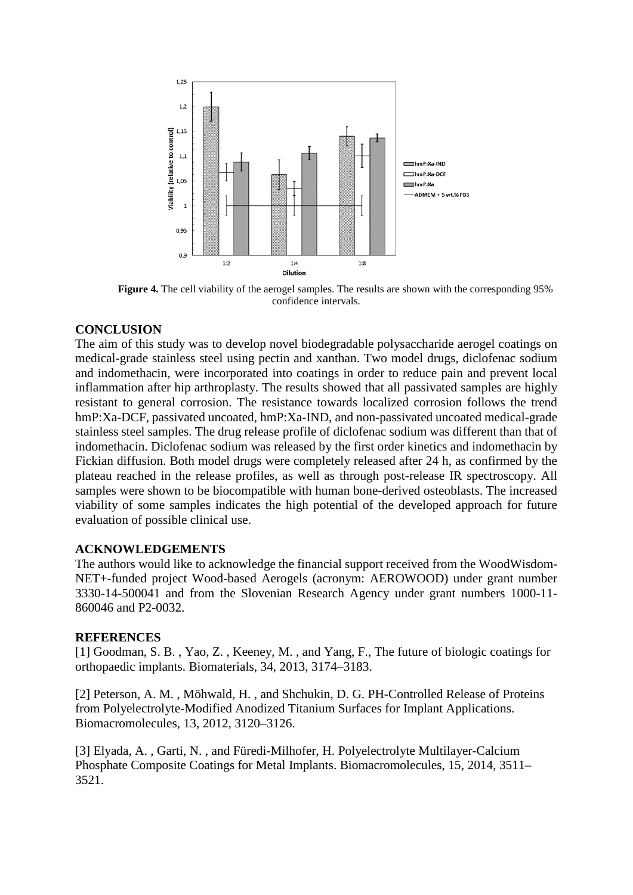

**Figure 4.** The cell viability of the aerogel samples. The results are shown with the corresponding 95% confidence intervals.

# **CONCLUSION**

The aim of this study was to develop novel biodegradable polysaccharide aerogel coatings on medical-grade stainless steel using pectin and xanthan. Two model drugs, diclofenac sodium and indomethacin, were incorporated into coatings in order to reduce pain and prevent local inflammation after hip arthroplasty. The results showed that all passivated samples are highly resistant to general corrosion. The resistance towards localized corrosion follows the trend hmP:Xa-DCF, passivated uncoated, hmP:Xa-IND, and non-passivated uncoated medical-grade stainless steel samples. The drug release profile of diclofenac sodium was different than that of indomethacin. Diclofenac sodium was released by the first order kinetics and indomethacin by Fickian diffusion. Both model drugs were completely released after 24 h, as confirmed by the plateau reached in the release profiles, as well as through post-release IR spectroscopy. All samples were shown to be biocompatible with human bone-derived osteoblasts. The increased viability of some samples indicates the high potential of the developed approach for future evaluation of possible clinical use.

### **ACKNOWLEDGEMENTS**

The authors would like to acknowledge the financial support received from the WoodWisdom-NET+-funded project Wood-based Aerogels (acronym: AEROWOOD) under grant number 3330-14-500041 and from the Slovenian Research Agency under grant numbers 1000-11- 860046 and P2-0032.

# **REFERENCES**

[1] Goodman, S. B., Yao, Z., Keeney, M., and Yang, F., The future of biologic coatings for orthopaedic implants. Biomaterials, 34, 2013, 3174–3183.

[2] Peterson, A. M. , Möhwald, H. , and Shchukin, D. G. PH-Controlled Release of Proteins from Polyelectrolyte-Modified Anodized Titanium Surfaces for Implant Applications. Biomacromolecules, 13, 2012, 3120–3126.

[3] Elyada, A. , Garti, N. , and Füredi-Milhofer, H. Polyelectrolyte Multilayer-Calcium Phosphate Composite Coatings for Metal Implants. Biomacromolecules, 15, 2014, 3511– 3521.